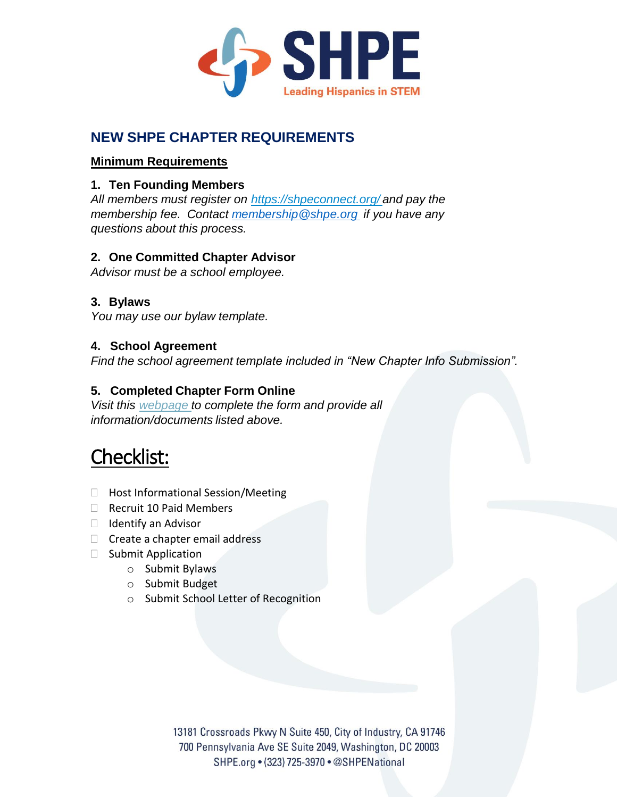

## **NEW SHPE CHAPTER REQUIREMENTS**

## **Minimum Requirements**

## **1. Ten Founding Members**

*All members must register on <https://shpeconnect.org/> and pay the membership fee. Contact [membership@shpe.org](mailto:membership@shpe.org) if you have any questions about this process.*

## **2. One Committed Chapter Advisor**

*Advisor must be a school employee.*

## **3. Bylaws**

*You may use our bylaw template.*

## **4. School Agreement**

*Find the school agreement template included in "New Chapter Info Submission".* 

## **5. Completed Chapter Form Online**

*Visit this [webpage](https://www.jotform.com/61966038742160) to complete the form and provide all information/documents listed above.* 

# Checklist:

- □ Host Informational Session/Meeting
- $\Box$  Recruit 10 Paid Members
- $\Box$  Identify an Advisor
- $\Box$  Create a chapter email address
- $\Box$  Submit Application
	- o Submit Bylaws
	- o Submit Budget
	- o Submit School Letter of Recognition

13181 Crossroads Pkwy N Suite 450, City of Industry, CA 91746 700 Pennsylvania Ave SE Suite 2049, Washington, DC 20003 SHPE.org . (323) 725-3970 . @SHPENational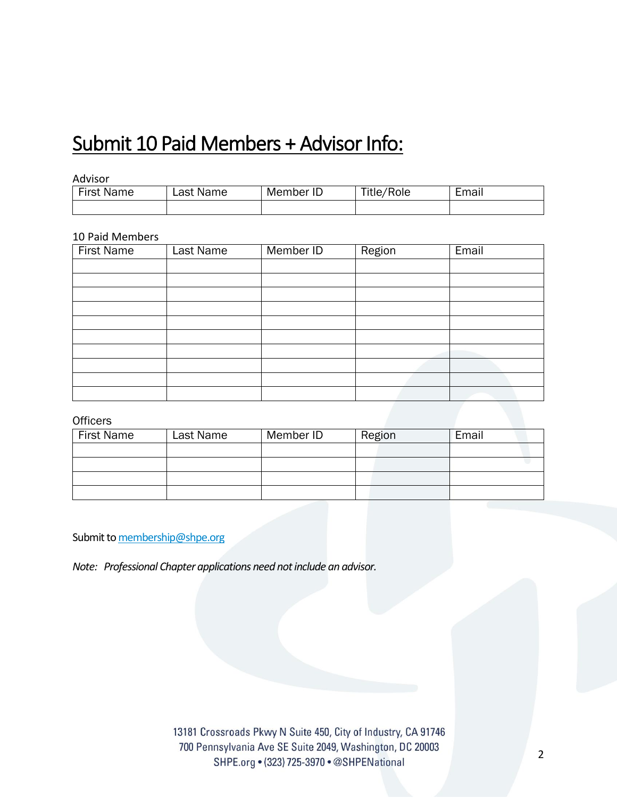## Submit 10 Paid Members + Advisor Info:

#### Advisor

| Firet<br>Name | Last Name | ID<br>Member | 'Role<br>Title, | ∟mail |
|---------------|-----------|--------------|-----------------|-------|
|               |           |              |                 |       |

#### 10 Paid Members

| <b>First Name</b> | <b>Last Name</b> | Member ID | Region | Email |
|-------------------|------------------|-----------|--------|-------|
|                   |                  |           |        |       |
|                   |                  |           |        |       |
|                   |                  |           |        |       |
|                   |                  |           |        |       |
|                   |                  |           |        |       |
|                   |                  |           |        |       |
|                   |                  |           |        |       |
|                   |                  |           |        |       |
|                   |                  |           |        |       |
|                   |                  |           |        |       |

#### **Officers**

| <b>First Name</b> | Last Name | Member ID | Region | Email |
|-------------------|-----------|-----------|--------|-------|
|                   |           |           |        |       |
|                   |           |           |        |       |
|                   |           |           |        |       |
|                   |           |           |        |       |

Submit t[o membership@shpe.org](mailto:membership@shpe.org)

*Note: Professional Chapter applications need not include an advisor.*

13181 Crossroads Pkwy N Suite 450, City of Industry, CA 91746 700 Pennsylvania Ave SE Suite 2049, Washington, DC 20003 SHPE.org • (323) 725-3970 • @SHPENational